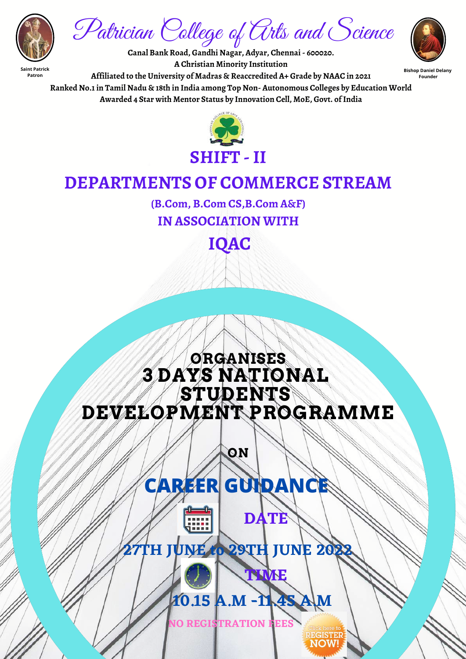## **ORGANISES 3 DAYS NATIONAL STUDENTS DEVELOPMENT PROGRAMME**

**ON**

**Saint Patrick Patron**



Patrician College of Arts and Science **Canal Bank Road, Gandhi Nagar, Adyar, Chennai- 600020.**

**Founder**

**Bishop Daniel Delany A Christian Minority Institution Affiliated to the University of Madras & Reaccredited A+ Grade by NAAC in 2021 Ranked No.1in Tamil Nadu & 18th in India among Top Non- Autonomous Colleges by Education World Awarded 4 Star with Mentor Status by Innovation Cell, MoE, Govt. ofIndia**



# **DEPARTMENTS OF COMMERCE STREAM**

**(B.Com, B.Com CS,B.Com A&F)**

## **IN ASSOCIATION WITH**

**IQAC**

**27TH JUNE to 29TH JUNE 2022**



**DATE**

**TIME**

lick here to

# **CAREER GUIDANCE**

**NO REGISTRATION FEES**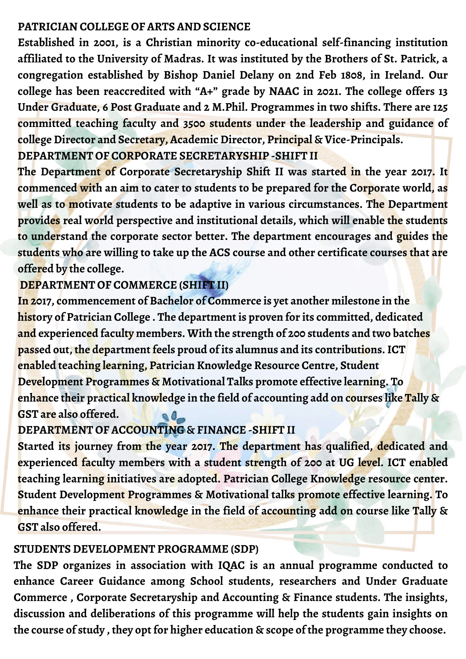#### **PATRICIAN COLLEGE OF ARTS AND SCIENCE**

**Established in 2001, is a Christian minority co-educational self-financing institution affiliated to the University of Madras. It was instituted by the Brothers of St. Patrick, a congregation established by Bishop Daniel Delany on 2nd Feb 1808, in Ireland. Our college has been reaccredited with "A+" grade by NAAC in 2021. The college offers 13 Under Graduate, 6 Post Graduate and 2 M.Phil. Programmes in two shifts. There are 125 committed teaching faculty and 3500 students under the leadership and guidance of college Director and Secretary, Academic Director, Principal & Vice-Principals. DEPARTMENT OF CORPORATE SECRETARYSHIP -SHIFT II**

**In 2017, commencement of Bachelor of Commerce is yet another milestone in the history of Patrician College . The department is proven for its committed, dedicated and experienced faculty members. With the strength of 200 students and two batches passed out, the department feels proud of its alumnus and its contributions.ICT enabled teaching learning, Patrician Knowledge Resource Centre, Student Development Programmes & Motivational Talks promote effective learning. To enhance their practical knowledge in the field of accounting add on courses like Tally & GST are also offered.**  $Q_{-}$ 

**The Department of Corporate Secretaryship Shift II was started in the year 2017. It commenced with an aim to cater to students to be prepared for the Corporate world, as well as to motivate students to be adaptive in various circumstances. The Department provides real world perspective and institutional details, which will enable the students to understand the corporate sector better. The department encourages and guides the students who are willing to take up the ACS course and other certificate courses that are offered by the college.**

#### **DEPARTMENT OF COMMERCE (SHIFT II)**

## **DEPARTMENT OF ACCOUNTING & FINANCE -SHIFT II**

**Started its journey from the year 2017. The department has qualified, dedicated and experienced faculty members with a student strength of 200 at UG level. ICT enabled teaching learning initiatives are adopted. Patrician College Knowledge resource center. Student Development Programmes & Motivational talks promote effective learning. To enhance their practical knowledge in the field of accounting add on course like Tally & GST also offered.**

#### **STUDENTS DEVELOPMENT PROGRAMME (SDP)**

**The SDP organizes in association with IQAC is an annual programme conducted to enhance Career Guidance among School students, researchers and Under Graduate Commerce , Corporate Secretaryship and Accounting & Finance students. The insights, discussion and deliberations of this programme will help the students gain insights on the course of study , they opt for higher education & scope of the programme they choose.**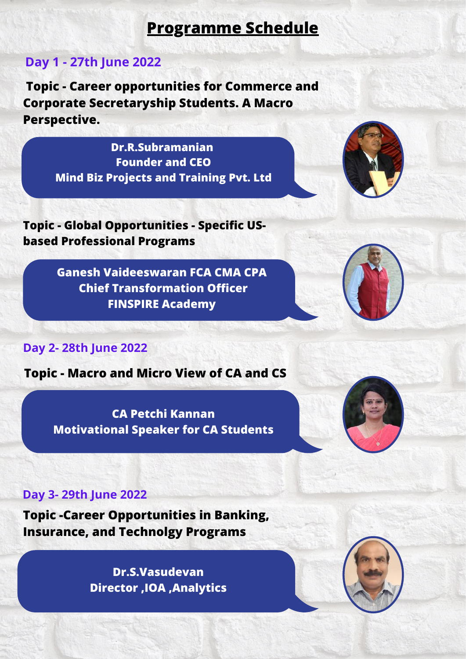**Dr.R.Subramanian Founder and CEO Mind Biz Projects and Training Pvt. Ltd**



**Ganesh Vaideeswaran FCA CMA CPA Chief Transformation Officer FINSPIRE Academy**



## **Programme Schedule**

## **Day 1 - 27th June 2022**

**Topic - Career opportunities for Commerce and Corporate Secretaryship Students. A Macro Perspective.**

**Day 2- 28th June 2022**

**Topic - Global Opportunities - Specific USbased Professional Programs**

### **Topic - Macro and Micro View of CA and CS**

**CA Petchi Kannan Motivational Speaker for CA Students**



#### **Day 3- 29th June 2022**

**Dr.S.Vasudevan Director ,IOA ,Analytics**



**Topic -Career Opportunities in Banking, Insurance, and Technolgy Programs**